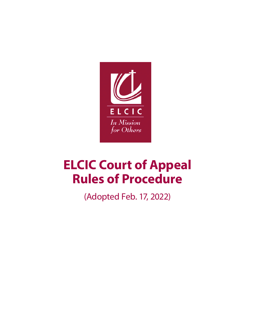

# **ELCIC Court of Appeal Rules of Procedure**

(Adopted Feb. 17, 2022)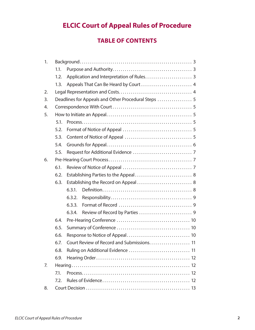# **ELCIC Court of Appeal Rules of Procedure**

# **TABLE OF CONTENTS**

| 1. |      |                                      |
|----|------|--------------------------------------|
|    | 1.1. |                                      |
|    | 1.2. |                                      |
|    | 1.3. |                                      |
| 2. |      |                                      |
| 3. |      |                                      |
| 4. |      |                                      |
| 5. |      |                                      |
|    | 5.1. |                                      |
|    | 5.2. |                                      |
|    | 5.3. |                                      |
|    | 5.4. |                                      |
|    | 5.5. |                                      |
| 6. |      |                                      |
|    | 6.1. |                                      |
|    | 6.2. | Establishing Parties to the Appeal 8 |
|    | 6.3. | Establishing the Record on Appeal 8  |
|    |      | 6.3.1.                               |
|    |      | 6.3.2.                               |
|    |      | 6.3.3.                               |
|    |      | 6.3.4.                               |
|    | 6.4. |                                      |
|    | 6.5. |                                      |
|    | 6.6. |                                      |
|    | 6.7. |                                      |
|    | 6.8. |                                      |
|    | 6.9. |                                      |
| 7. |      |                                      |
|    | 7.1. |                                      |
|    | 7.2. |                                      |
| 8. |      |                                      |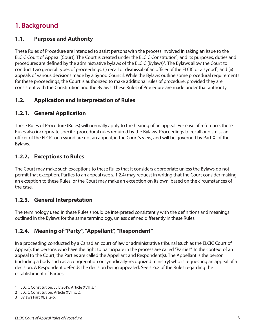# **1. Background**

## **1.1. Purpose and Authority**

These Rules of Procedure are intended to assist persons with the process involved in taking an issue to the ELCIC Court of Appeal (Court). The Court is created under the ELCIC Constitution<sup>1</sup>, and its purposes, duties and procedures are defined by the administrative bylaws of the ELCIC (Bylaws)<sup>2</sup>. The Bylaws allow the Court to conduct two general types of proceedings: (i) recall or dismissal of an officer of the ELCIC or a synod<sup>3</sup>; and (ii) appeals of various decisions made by a Synod Council. While the Bylaws outline some procedural requirements for these proceedings, the Court is authorized to make additional rules of procedure, provided they are consistent with the Constitution and the Bylaws. These Rules of Procedure are made under that authority.

# **1.2. Application and Interpretation of Rules**

# **1.2.1. General Application**

These Rules of Procedure (Rules) will normally apply to the hearing of an appeal. For ease of reference, these Rules also incorporate specific procedural rules required by the Bylaws. Proceedings to recall or dismiss an officer of the ELCIC or a synod are not an appeal, in the Court's view, and will be governed by Part XI of the Bylaws.

### **1.2.2. Exceptions to Rules**

The Court may make such exceptions to these Rules that it considers appropriate unless the Bylaws do not permit that exception. Parties to an appeal (see s. 1.2.4) may request in writing that the Court consider making an exception to these Rules, or the Court may make an exception on its own, based on the circumstances of the case.

# **1.2.3. General Interpretation**

The terminology used in these Rules should be interpreted consistently with the definitions and meanings outlined in the Bylaws for the same terminology, unless defined differently in these Rules.

# **1.2.4. Meaning of "Party", "Appellant", "Respondent"**

In a proceeding conducted by a Canadian court of law or administrative tribunal (such as the ELCIC Court of Appeal), the persons who have the right to participate in the process are called "Parties". In the context of an appeal to the Court, the Parties are called the Appellant and Respondent(s). The Appellant is the person (including a body such as a congregation or synodically-recognized ministry) who is requesting an appeal of a decision. A Respondent defends the decision being appealed. See s. 6.2 of the Rules regarding the establishment of Parties.

<sup>1</sup> ELCIC Constitution, July 2019, Article XVII, s. 1.

<sup>2</sup> ELCIC Constitution, Article XVII, s. 2.

<sup>3</sup> Bylaws Part XI, s. 2-6.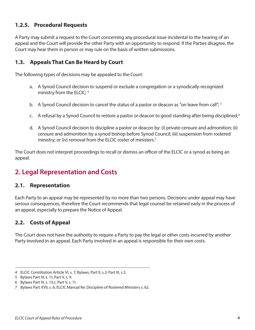## **1.2.5. Procedural Requests**

A Party may submit a request to the Court concerning any procedural issue incidental to the hearing of an appeal and the Court will provide the other Party with an opportunity to respond. If the Parties disagree, the Court may hear them in person or may rule on the basis of written submissions.

## **1.3. Appeals That Can Be Heard by Court**

The following types of decisions may be appealed to the Court:

- a. A Synod Council decision to suspend or exclude a congregation or a synodically-recognized ministry from the ELCIC; 4
- b. A Synod Council decision to cancel the status of a pastor or deacon as "on leave from call"; <sup>5</sup>
- c. A refusal by a Synod Council to restore a pastor or deacon to good standing after being disciplined;  $6$
- d. A Synod Council decision to discipline a pastor or deacon by: (i) private censure and admonition; (ii) censure and admonition by a synod bishop before Synod Council; (iii) suspension from rostered ministry; or (iv) removal from the ELCIC roster of ministers.<sup>7</sup>

The Court does not interpret proceedings to recall or dismiss an officer of the ELCIC or a synod as being an appeal.

# **2. Legal Representation and Costs**

#### **2.1. Representation**

Each Party to an appeal may be represented by no more than two persons. Decisions under appeal may have serious consequences, therefore the Court recommends that legal counsel be retained early in the process of an appeal, especially to prepare the Notice of Appeal.

# **2.2. Costs of Appeal**

The Court does not have the authority to require a Party to pay the legal or other costs incurred by another Party involved in an appeal. Each Party involved in an appeal is responsible for their own costs.

<sup>4</sup> ELCIC Constitution Article VI, s. 7; Bylaws, Part II, s.3; Part III, s.3.

<sup>5</sup> Bylaws Part IV, s. 11; Part V, s. 9.

<sup>6</sup> Bylaws Part IV, s. 13.c; Part V, s. 11.

<sup>7</sup> Bylaws Part XVII, s. 6; ELCIC Manual Re: Discipline of Rostered Ministers s. 62.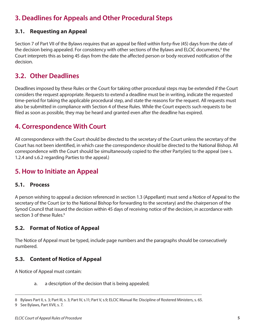# **3. Deadlines for Appeals and Other Procedural Steps**

## **3.1. Requesting an Appeal**

Section 7 of Part VII of the Bylaws requires that an appeal be filed within forty-five (45) days from the date of the decision being appealed. For consistency with other sections of the Bylaws and ELCIC documents,<sup>8</sup> the Court interprets this as being 45 days from the date the affected person or body received notification of the decision.

# **3.2. Other Deadlines**

Deadlines imposed by these Rules or the Court for taking other procedural steps may be extended if the Court considers the request appropriate. Requests to extend a deadline must be in writing, indicate the requested time-period for taking the applicable procedural step, and state the reasons for the request. All requests must also be submitted in compliance with Section 4 of these Rules. While the Court expects such requests to be filed as soon as possible, they may be heard and granted even after the deadline has expired.

# **4. Correspondence With Court**

All correspondence with the Court should be directed to the secretary of the Court unless the secretary of the Court has not been identified, in which case the correspondence should be directed to the National Bishop. All correspondence with the Court should be simultaneously copied to the other Party(ies) to the appeal (see s. 1.2.4 and s.6.2 regarding Parties to the appeal.)

# **5. How to Initiate an Appeal**

#### **5.1. Process**

A person wishing to appeal a decision referenced in section 1.3 (Appellant) must send a Notice of Appeal to the secretary of the Court (or to the National Bishop for forwarding to the secretary) and the chairperson of the Synod Council that issued the decision within 45 days of receiving notice of the decision, in accordance with section 3 of these Rules.<sup>9</sup>

# **5.2. Format of Notice of Appeal**

The Notice of Appeal must be typed, include page numbers and the paragraphs should be consecutively numbered.

# **5.3. Content of Notice of Appeal**

A Notice of Appeal must contain:

a. a description of the decision that is being appealed;

<sup>8</sup> Bylaws Part II, s. 3; Part III, s. 3; Part IV, s.11; Part V, s.9; ELCIC Manual Re: Discipline of Rostered Ministers, s. 65.

<sup>9</sup> See Bylaws, Part XVII, s. 7.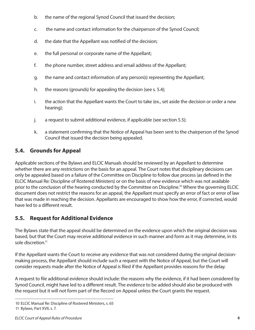- b. the name of the regional Synod Council that issued the decision;
- c. the name and contact information for the chairperson of the Synod Council;
- d. the date that the Appellant was notified of the decision;
- e. the full personal or corporate name of the Appellant;
- f. the phone number, street address and email address of the Appellant;
- g. the name and contact information of any person(s) representing the Appellant;
- h. the reasons (grounds) for appealing the decision (see s. 5.4);
- i. the action that the Appellant wants the Court to take (ex., set aside the decision or order a new hearing);
- j. a request to submit additional evidence, if applicable (see section 5.5);
- k. a statement confirming that the Notice of Appeal has been sent to the chairperson of the Synod Council that issued the decision being appealed.

# **5.4. Grounds for Appeal**

Applicable sections of the Bylaws and ELCIC Manuals should be reviewed by an Appellant to determine whether there are any restrictions on the basis for an appeal. The Court notes that disciplinary decisions can only be appealed based on a failure of the Committee on Discipline to follow due process (as defined in the ELCIC Manual Re: Discipline of Rostered Ministers) or on the basis of new evidence which was not available prior to the conclusion of the hearing conducted by the Committee on Discipline.<sup>10</sup> Where the governing ELCIC document does not restrict the reasons for an appeal, the Appellant must specify an error of fact or error of law that was made in reaching the decision. Appellants are encouraged to show how the error, if corrected, would have led to a different result.

# **5.5. Request for Additional Evidence**

The Bylaws state that the appeal should be determined on the evidence upon which the original decision was based, but that the Court may receive additional evidence in such manner and form as it may determine, in its sole discretion.11

If the Appellant wants the Court to receive any evidence that was not considered during the original decisionmaking process, the Appellant should include such a request with the Notice of Appeal, but the Court will consider requests made after the Notice of Appeal is filed if the Appellant provides reasons for the delay.

A request to file additional evidence should include: the reasons why the evidence, if it had been considered by Synod Council, might have led to a different result. The evidence to be added should also be produced with the request but it will not form part of the Record on Appeal unless the Court grants the request.

<sup>10</sup> ELCIC Manual Re: Discipline of Rostered Ministers, s. 65 11 Bylaws, Part XVII, s. 7.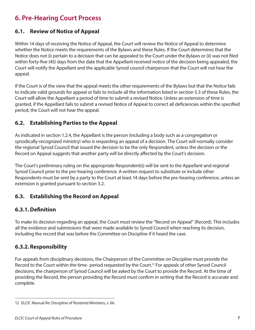# **6. Pre-Hearing Court Process**

## **6.1. Review of Notice of Appeal**

Within 14 days of receiving the Notice of Appeal, the Court will review the Notice of Appeal to determine whether the Notice meets the requirements of the Bylaws and these Rules. If the Court determines that the Notice does not (i) pertain to a decision that can be appealed to the Court under the Bylaws or (ii) was not filed within forty-five (45) days from the date that the Appellant received notice of the decision being appealed, the Court will notify the Appellant and the applicable Synod council chairperson that the Court will not hear the appeal.

If the Court is of the view that the appeal meets the other requirements of the Bylaws but that the Notice fails to indicate valid grounds for appeal or fails to include all the information listed in section 5.3 of these Rules, the Court will allow the Appellant a period of time to submit a revised Notice. Unless an extension of time is granted, if the Appellant fails to submit a revised Notice of Appeal to correct all deficiencies within the specified period, the Court will not hear the appeal.

## **6.2. Establishing Parties to the Appeal**

As indicated in section 1.2.4, the Appellant is the person (including a body such as a congregation or synodically-recognized ministry) who is requesting an appeal of a decision. The Court will normally consider the regional Synod Council that issued the decision to be the only Respondent, unless the decision or the Record on Appeal suggests that another party will be directly affected by the Court's decision.

The Court's preliminary ruling on the appropriate Respondent(s) will be sent to the Appellant and regional Synod Council prior to the pre-hearing conference. A written request to substitute or include other Respondents must be sent by a party to the Court at least 14 days before the pre-hearing conference, unless an extension is granted pursuant to section 3.2.

### **6.3. Establishing the Record on Appeal**

### **6.3.1.Definition**

To make its decision regarding an appeal, the Court must review the "Record on Appeal" (Record). This includes all the evidence and submissions that were made available to Synod Council when reaching its decision, including the record that was before the Committee on Discipline if it heard the case.

### **6.3.2.Responsibility**

For appeals from disciplinary decisions, the Chairperson of the Committee on Discipline must provide the Record to the Court within the time- period requested by the Court.<sup>12</sup> For appeals of other Synod Council decisions, the chairperson of Synod Council will be asked by the Court to provide the Record. At the time of providing the Record, the person providing the Record must confirm in writing that the Record is accurate and complete.

<sup>12</sup> ELCIC Manual Re: Discipline of Rostered Ministers, s. 66.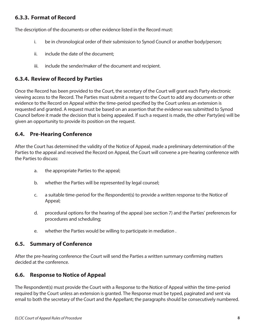### **6.3.3. Format of Record**

The description of the documents or other evidence listed in the Record must:

- i. be in chronological order of their submission to Synod Council or another body/person;
- ii. include the date of the document:
- iii. include the sender/maker of the document and recipient.

#### **6.3.4. Review of Record by Parties**

Once the Record has been provided to the Court, the secretary of the Court will grant each Party electronic viewing access to the Record. The Parties must submit a request to the Court to add any documents or other evidence to the Record on Appeal within the time-period specified by the Court unless an extension is requested and granted. A request must be based on an assertion that the evidence was submitted to Synod Council before it made the decision that is being appealed. If such a request is made, the other Party(ies) will be given an opportunity to provide its position on the request.

### **6.4. Pre-Hearing Conference**

After the Court has determined the validity of the Notice of Appeal, made a preliminary determination of the Parties to the appeal and received the Record on Appeal, the Court will convene a pre-hearing conference with the Parties to discuss:

- a. the appropriate Parties to the appeal;
- b. whether the Parties will be represented by legal counsel;
- c. a suitable time-period for the Respondent(s) to provide a written response to the Notice of Appeal;
- d. procedural options for the hearing of the appeal (see section 7) and the Parties' preferences for procedures and scheduling;
- e. whether the Parties would be willing to participate in mediation .

#### **6.5. Summary of Conference**

After the pre-hearing conference the Court will send the Parties a written summary confirming matters decided at the conference.

### **6.6. Response to Notice of Appeal**

The Respondent(s) must provide the Court with a Response to the Notice of Appeal within the time-period required by the Court unless an extension is granted. The Response must be typed, paginated and sent via email to both the secretary of the Court and the Appellant; the paragraphs should be consecutively numbered.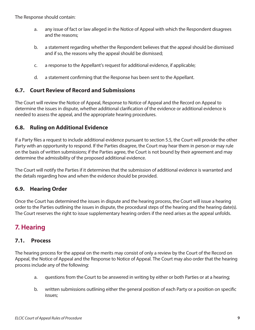The Response should contain:

- a. any issue of fact or law alleged in the Notice of Appeal with which the Respondent disagrees and the reasons;
- b. a statement regarding whether the Respondent believes that the appeal should be dismissed and if so, the reasons why the appeal should be dismissed;
- c. a response to the Appellant's request for additional evidence, if applicable;
- d. a statement confirming that the Response has been sent to the Appellant.

### **6.7. Court Review of Record and Submissions**

The Court will review the Notice of Appeal, Response to Notice of Appeal and the Record on Appeal to determine the issues in dispute, whether additional clarification of the evidence or additional evidence is needed to assess the appeal, and the appropriate hearing procedures.

#### **6.8. Ruling on Additional Evidence**

If a Party files a request to include additional evidence pursuant to section 5.5, the Court will provide the other Party with an opportunity to respond. If the Parties disagree, the Court may hear them in person or may rule on the basis of written submissions; if the Parties agree, the Court is not bound by their agreement and may determine the admissibility of the proposed additional evidence.

The Court will notify the Parties if it determines that the submission of additional evidence is warranted and the details regarding how and when the evidence should be provided.

### **6.9. Hearing Order**

Once the Court has determined the issues in dispute and the hearing process, the Court will issue a hearing order to the Parties outlining the issues in dispute, the procedural steps of the hearing and the hearing date(s). The Court reserves the right to issue supplementary hearing orders if the need arises as the appeal unfolds.

# **7. Hearing**

#### **7.1. Process**

The hearing process for the appeal on the merits may consist of only a review by the Court of the Record on Appeal, the Notice of Appeal and the Response to Notice of Appeal. The Court may also order that the hearing process include any of the following:

- a. questions from the Court to be answered in writing by either or both Parties or at a hearing;
- b. written submissions outlining either the general position of each Party or a position on specific issues;